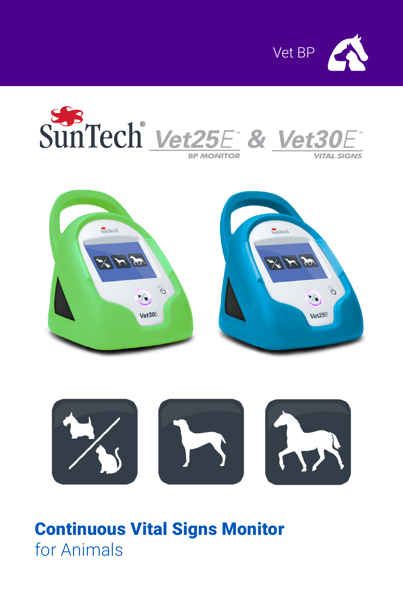







# Continuous Vital Signs Monitor for Animals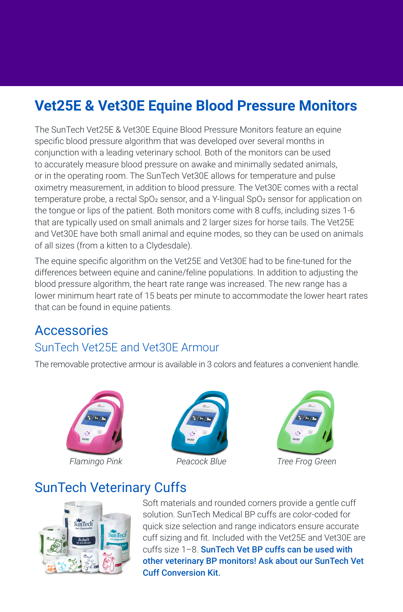## **Vet25E & Vet30E Equine Blood Pressure Monitors**

The SunTech Vet25E & Vet30E Equine Blood Pressure Monitors feature an equine specific blood pressure algorithm that was developed over several months in conjunction with a leading veterinary school. Both of the monitors can be used to accurately measure blood pressure on awake and minimally sedated animals, or in the operating room. The SunTech Vet30E allows for temperature and pulse oximetry measurement, in addition to blood pressure. The Vet30E comes with a rectal temperature probe, a rectal SpO<sub>2</sub> sensor, and a Y-lingual SpO<sub>2</sub> sensor for application on the tongue or lips of the patient. Both monitors come with 8 cuffs, including sizes 1-6 that are typically used on small animals and 2 larger sizes for horse tails. The Vet25E and Vet30E have both small animal and equine modes, so they can be used on animals of all sizes (from a kitten to a Clydesdale).

The equine specific algorithm on the Vet25E and Vet30E had to be fine-tuned for the differences between equine and canine/feline populations. In addition to adjusting the blood pressure algorithm, the heart rate range was increased. The new range has a lower minimum heart rate of 15 beats per minute to accommodate the lower heart rates that can be found in equine patients.

### **Accessories** SunTech Vet25E and Vet30E Armour

The removable protective armour is available in 3 colors and features a convenient handle.







*Flamingo Pink Peacock Blue Tree Frog Green*

## SunTech Veterinary Cuffs



Soft materials and rounded corners provide a gentle cuff solution. SunTech Medical BP cuffs are color-coded for quick size selection and range indicators ensure accurate cuff sizing and fit. Included with the Vet25E and Vet30E are cuffs size 1-8. SunTech Vet BP cuffs can be used with other veterinary BP monitors! Ask about our SunTech Vet Cuff Conversion Kit.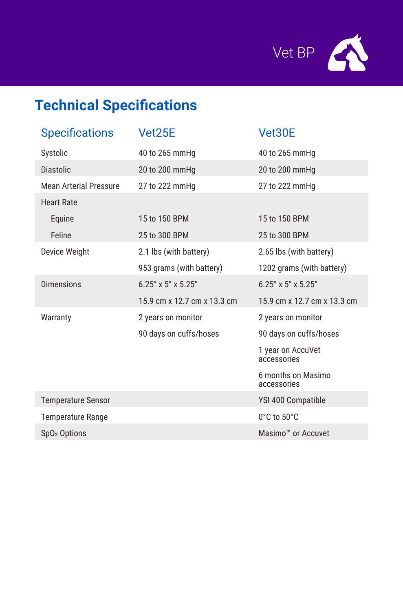

# **Technical Specifications**

| <b>Specifications</b>         | Vet25E                      | Vet30E                            |
|-------------------------------|-----------------------------|-----------------------------------|
| Systolic                      | 40 to 265 mmHq              | 40 to 265 mmHg                    |
| <b>Diastolic</b>              | 20 to 200 mmHg              | 20 to 200 mmHg                    |
| <b>Mean Arterial Pressure</b> | 27 to 222 mmHg              | 27 to 222 mmHg                    |
| <b>Heart Rate</b>             |                             |                                   |
| Equine                        | 15 to 150 BPM               | 15 to 150 BPM                     |
| Feline                        | 25 to 300 BPM               | 25 to 300 BPM                     |
| Device Weight                 | 2.1 lbs (with battery)      | 2.65 lbs (with battery)           |
|                               | 953 grams (with battery)    | 1202 grams (with battery)         |
| <b>Dimensions</b>             | $6.25''$ x 5" x 5.25"       | $6.25''$ x 5" x 5.25"             |
|                               | 15.9 cm x 12.7 cm x 13.3 cm | 15.9 cm x 12.7 cm x 13.3 cm       |
| Warranty                      | 2 years on monitor          | 2 years on monitor                |
|                               | 90 days on cuffs/hoses      | 90 days on cuffs/hoses            |
|                               |                             | 1 year on AccuVet<br>accessories  |
|                               |                             | 6 months on Masimo<br>accessories |
| <b>Temperature Sensor</b>     |                             | YSI 400 Compatible                |
| <b>Temperature Range</b>      |                             | 0°C to 50°C                       |
| SpO <sub>2</sub> Options      |                             | Masimo <sup>™</sup> or Accuvet    |